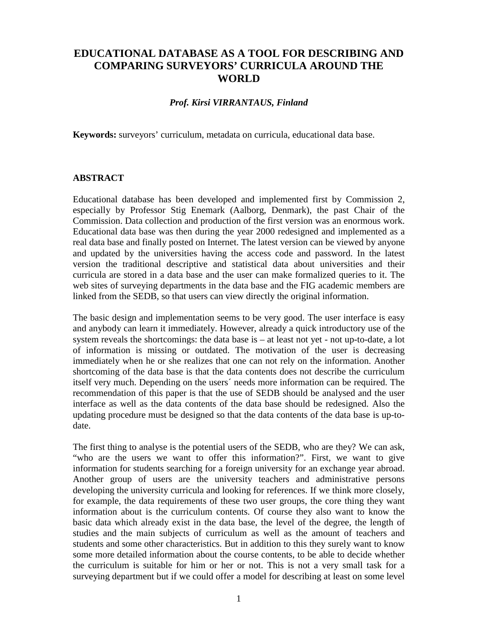## **EDUCATIONAL DATABASE AS A TOOL FOR DESCRIBING AND COMPARING SURVEYORS' CURRICULA AROUND THE WORLD**

## *Prof. Kirsi VIRRANTAUS, Finland*

**Keywords:** surveyors' curriculum, metadata on curricula, educational data base.

## **ABSTRACT**

Educational database has been developed and implemented first by Commission 2, especially by Professor Stig Enemark (Aalborg, Denmark), the past Chair of the Commission. Data collection and production of the first version was an enormous work. Educational data base was then during the year 2000 redesigned and implemented as a real data base and finally posted on Internet. The latest version can be viewed by anyone and updated by the universities having the access code and password. In the latest version the traditional descriptive and statistical data about universities and their curricula are stored in a data base and the user can make formalized queries to it. The web sites of surveying departments in the data base and the FIG academic members are linked from the SEDB, so that users can view directly the original information.

The basic design and implementation seems to be very good. The user interface is easy and anybody can learn it immediately. However, already a quick introductory use of the system reveals the shortcomings: the data base is – at least not yet - not up-to-date, a lot of information is missing or outdated. The motivation of the user is decreasing immediately when he or she realizes that one can not rely on the information. Another shortcoming of the data base is that the data contents does not describe the curriculum itself very much. Depending on the users´ needs more information can be required. The recommendation of this paper is that the use of SEDB should be analysed and the user interface as well as the data contents of the data base should be redesigned. Also the updating procedure must be designed so that the data contents of the data base is up-todate.

The first thing to analyse is the potential users of the SEDB, who are they? We can ask, "who are the users we want to offer this information?". First, we want to give information for students searching for a foreign university for an exchange year abroad. Another group of users are the university teachers and administrative persons developing the university curricula and looking for references. If we think more closely, for example, the data requirements of these two user groups, the core thing they want information about is the curriculum contents. Of course they also want to know the basic data which already exist in the data base, the level of the degree, the length of studies and the main subjects of curriculum as well as the amount of teachers and students and some other characteristics. But in addition to this they surely want to know some more detailed information about the course contents, to be able to decide whether the curriculum is suitable for him or her or not. This is not a very small task for a surveying department but if we could offer a model for describing at least on some level